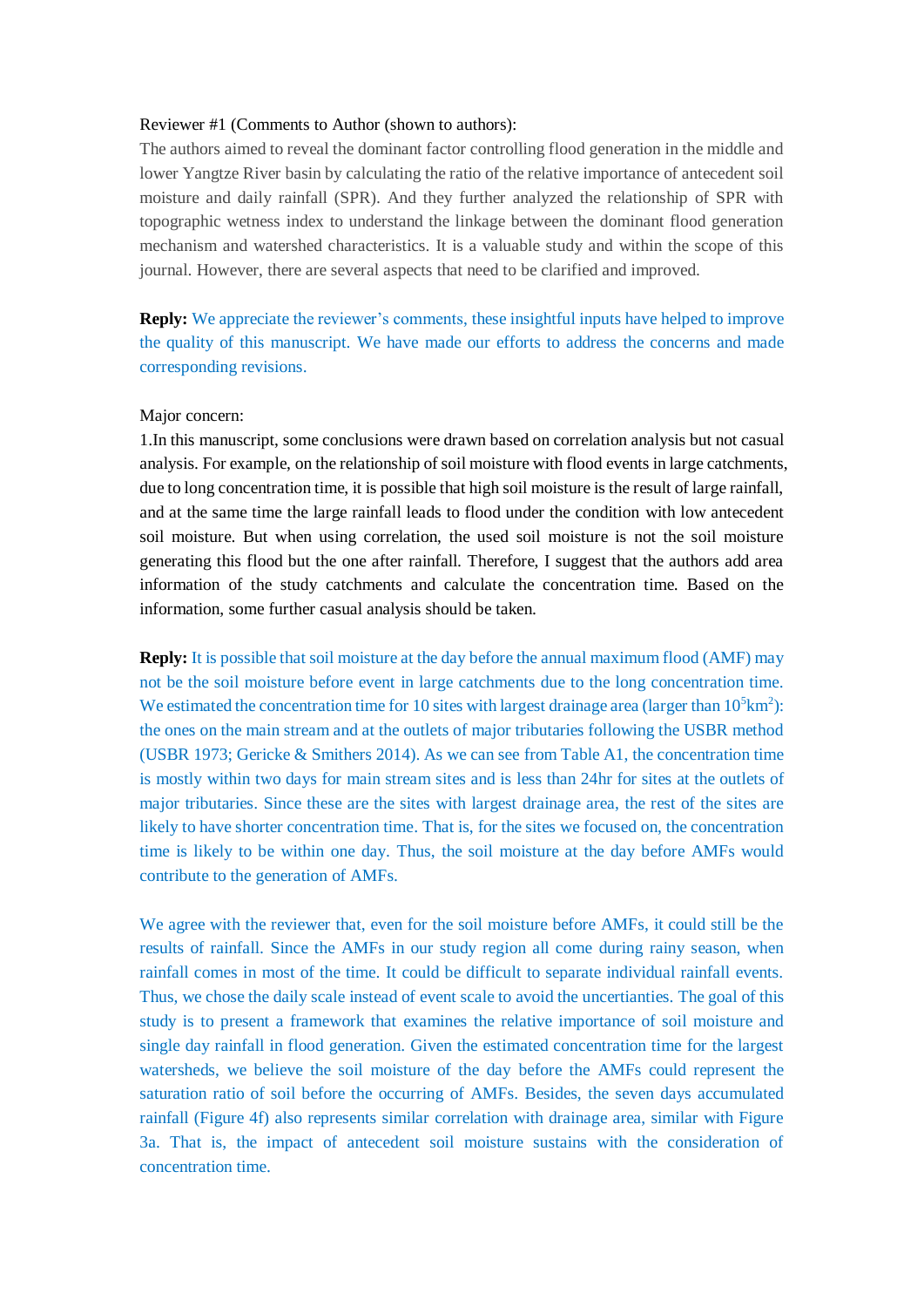## Reviewer #1 (Comments to Author (shown to authors):

The authors aimed to reveal the dominant factor controlling flood generation in the middle and lower Yangtze River basin by calculating the ratio of the relative importance of antecedent soil moisture and daily rainfall (SPR). And they further analyzed the relationship of SPR with topographic wetness index to understand the linkage between the dominant flood generation mechanism and watershed characteristics. It is a valuable study and within the scope of this journal. However, there are several aspects that need to be clarified and improved.

**Reply:** We appreciate the reviewer's comments, these insightful inputs have helped to improve the quality of this manuscript. We have made our efforts to address the concerns and made corresponding revisions.

## Major concern:

1.In this manuscript, some conclusions were drawn based on correlation analysis but not casual analysis. For example, on the relationship of soil moisture with flood events in large catchments, due to long concentration time, it is possible that high soil moisture is the result of large rainfall, and at the same time the large rainfall leads to flood under the condition with low antecedent soil moisture. But when using correlation, the used soil moisture is not the soil moisture generating this flood but the one after rainfall. Therefore, I suggest that the authors add area information of the study catchments and calculate the concentration time. Based on the information, some further casual analysis should be taken.

**Reply:** It is possible that soil moisture at the day before the annual maximum flood (AMF) may not be the soil moisture before event in large catchments due to the long concentration time. We estimated the concentration time for 10 sites with largest drainage area (larger than  $10^5 \text{km}^2$ ): the ones on the main stream and at the outlets of major tributaries following the USBR method (USBR 1973; Gericke & Smithers 2014). As we can see from Table A1, the concentration time is mostly within two days for main stream sites and is less than 24hr for sites at the outlets of major tributaries. Since these are the sites with largest drainage area, the rest of the sites are likely to have shorter concentration time. That is, for the sites we focused on, the concentration time is likely to be within one day. Thus, the soil moisture at the day before AMFs would contribute to the generation of AMFs.

We agree with the reviewer that, even for the soil moisture before AMFs, it could still be the results of rainfall. Since the AMFs in our study region all come during rainy season, when rainfall comes in most of the time. It could be difficult to separate individual rainfall events. Thus, we chose the daily scale instead of event scale to avoid the uncertianties. The goal of this study is to present a framework that examines the relative importance of soil moisture and single day rainfall in flood generation. Given the estimated concentration time for the largest watersheds, we believe the soil moisture of the day before the AMFs could represent the saturation ratio of soil before the occurring of AMFs. Besides, the seven days accumulated rainfall (Figure 4f) also represents similar correlation with drainage area, similar with Figure 3a. That is, the impact of antecedent soil moisture sustains with the consideration of concentration time.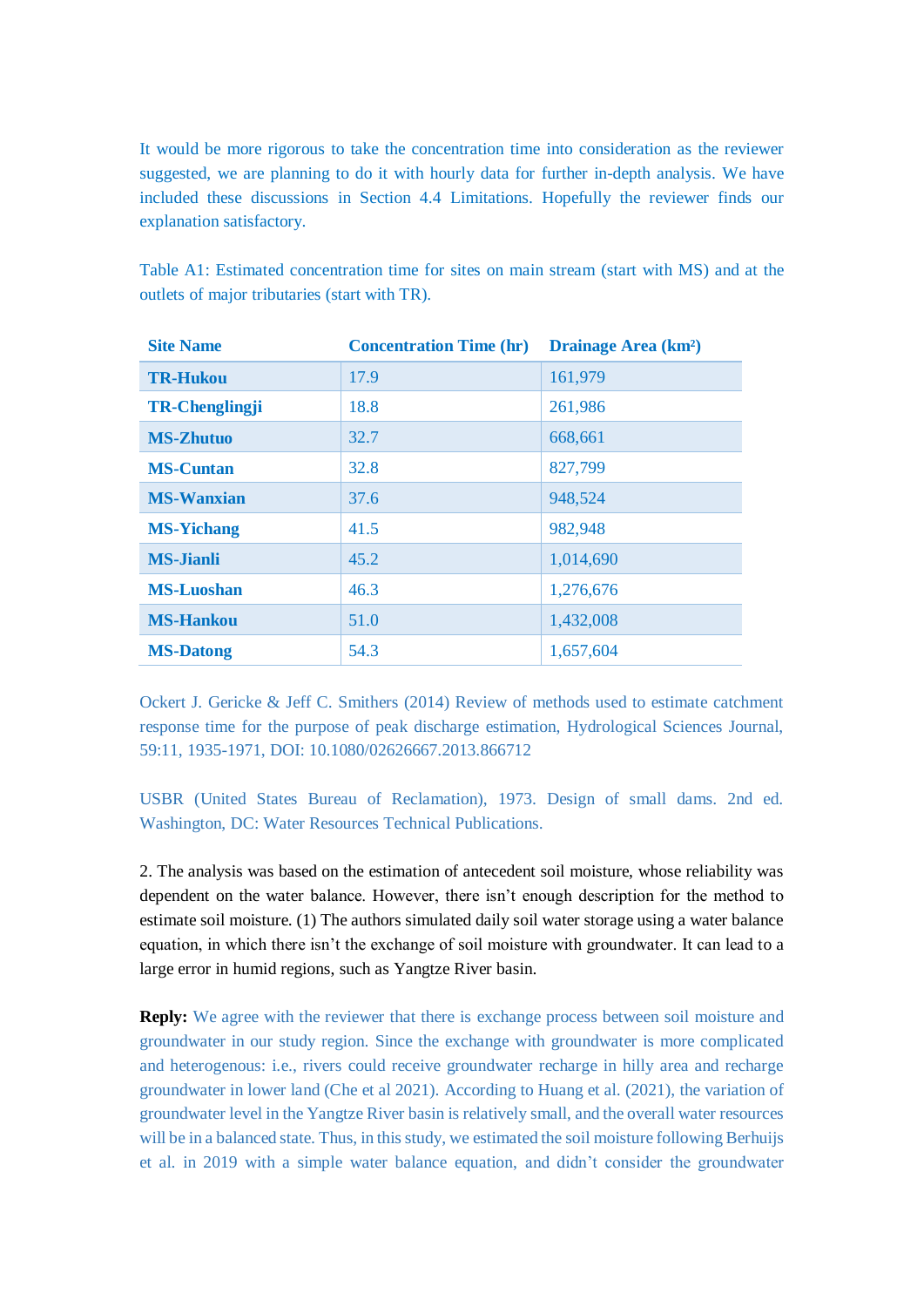It would be more rigorous to take the concentration time into consideration as the reviewer suggested, we are planning to do it with hourly data for further in-depth analysis. We have included these discussions in Section 4.4 Limitations. Hopefully the reviewer finds our explanation satisfactory.

Table A1: Estimated concentration time for sites on main stream (start with MS) and at the outlets of major tributaries (start with TR).

| <b>Site Name</b>      | <b>Concentration Time (hr)</b> | <b>Drainage Area (km<sup>2</sup>)</b> |
|-----------------------|--------------------------------|---------------------------------------|
| <b>TR-Hukou</b>       | 17.9                           | 161,979                               |
| <b>TR-Chenglingji</b> | 18.8                           | 261,986                               |
| <b>MS-Zhutuo</b>      | 32.7                           | 668,661                               |
| <b>MS-Cuntan</b>      | 32.8                           | 827,799                               |
| <b>MS-Wanxian</b>     | 37.6                           | 948,524                               |
| <b>MS-Yichang</b>     | 41.5                           | 982,948                               |
| <b>MS-Jianli</b>      | 45.2                           | 1,014,690                             |
| <b>MS-Luoshan</b>     | 46.3                           | 1,276,676                             |
| <b>MS-Hankou</b>      | 51.0                           | 1,432,008                             |
| <b>MS-Datong</b>      | 54.3                           | 1,657,604                             |

Ockert J. Gericke & Jeff C. Smithers (2014) Review of methods used to estimate catchment response time for the purpose of peak discharge estimation, Hydrological Sciences Journal, 59:11, 1935-1971, DOI: 10.1080/02626667.2013.866712

USBR (United States Bureau of Reclamation), 1973. Design of small dams. 2nd ed. Washington, DC: Water Resources Technical Publications.

2. The analysis was based on the estimation of antecedent soil moisture, whose reliability was dependent on the water balance. However, there isn't enough description for the method to estimate soil moisture. (1) The authors simulated daily soil water storage using a water balance equation, in which there isn't the exchange of soil moisture with groundwater. It can lead to a large error in humid regions, such as Yangtze River basin.

**Reply:** We agree with the reviewer that there is exchange process between soil moisture and groundwater in our study region. Since the exchange with groundwater is more complicated and heterogenous: i.e., rivers could receive groundwater recharge in hilly area and recharge groundwater in lower land (Che et al 2021). According to Huang et al. (2021), the variation of groundwater level in the Yangtze River basin is relatively small, and the overall water resources will be in a balanced state. Thus, in this study, we estimated the soil moisture following Berhuijs et al. in 2019 with a simple water balance equation, and didn't consider the groundwater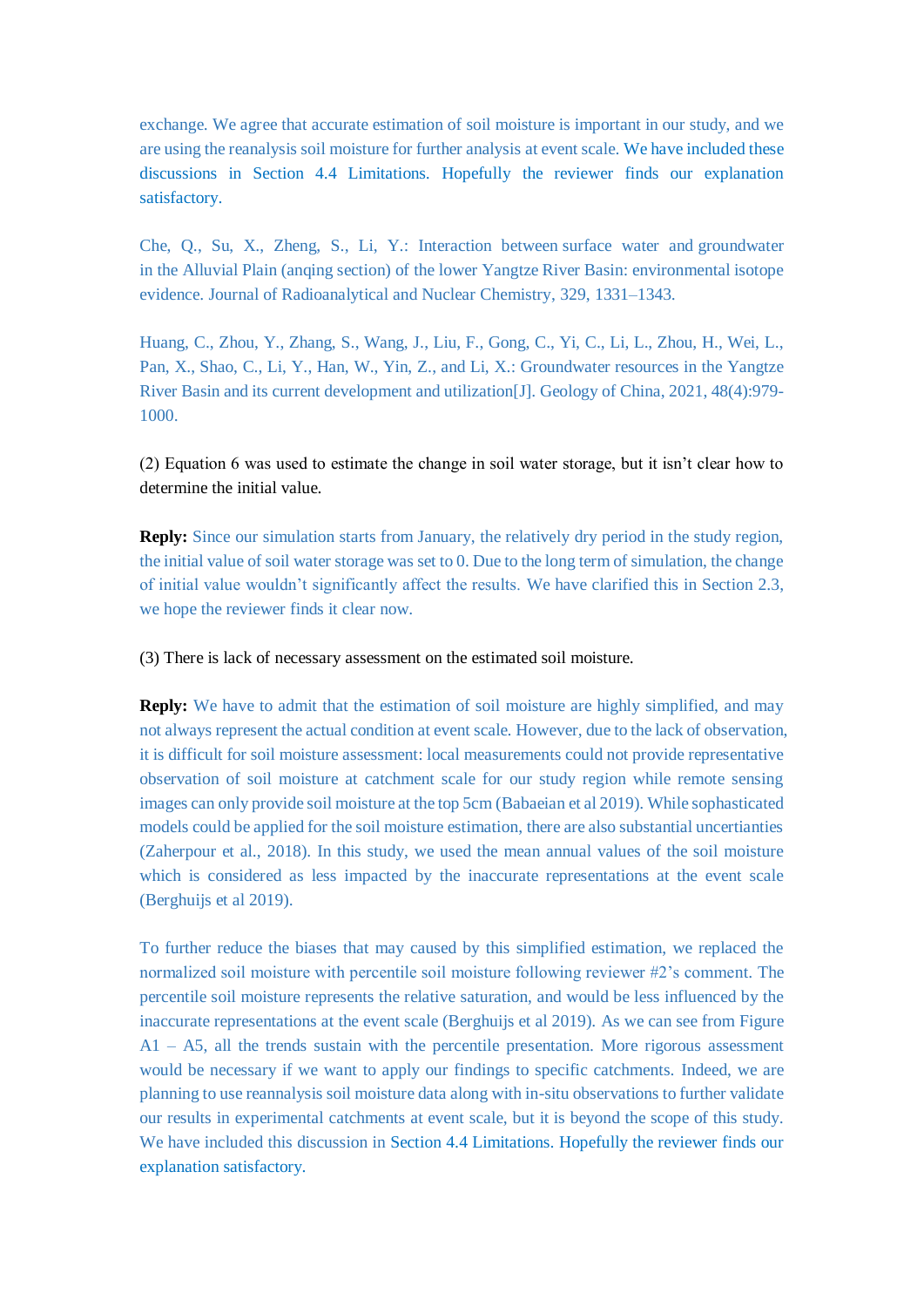exchange. We agree that accurate estimation of soil moisture is important in our study, and we are using the reanalysis soil moisture for further analysis at event scale. We have included these discussions in Section 4.4 Limitations. Hopefully the reviewer finds our explanation satisfactory.

Che, Q., Su, X., Zheng, S., Li, Y.: Interaction between surface water and groundwater in the Alluvial Plain (anqing section) of the lower Yangtze River Basin: environmental isotope evidence. Journal of Radioanalytical and Nuclear Chemistry, 329, 1331–1343.

Huang, C., Zhou, Y., Zhang, S., Wang, J., Liu, F., Gong, C., Yi, C., Li, L., Zhou, H., Wei, L., Pan, X., Shao, C., Li, Y., Han, W., Yin, Z., and Li, X.: Groundwater resources in the Yangtze River Basin and its current development and utilization[J]. Geology of China, 2021, 48(4):979- 1000.

(2) Equation 6 was used to estimate the change in soil water storage, but it isn't clear how to determine the initial value.

**Reply:** Since our simulation starts from January, the relatively dry period in the study region, the initial value of soil water storage was set to 0. Due to the long term of simulation, the change of initial value wouldn't significantly affect the results. We have clarified this in Section 2.3, we hope the reviewer finds it clear now.

(3) There is lack of necessary assessment on the estimated soil moisture.

**Reply:** We have to admit that the estimation of soil moisture are highly simplified, and may not always represent the actual condition at event scale. However, due to the lack of observation, it is difficult for soil moisture assessment: local measurements could not provide representative observation of soil moisture at catchment scale for our study region while remote sensing images can only provide soil moisture at the top 5cm (Babaeian et al 2019). While sophasticated models could be applied for the soil moisture estimation, there are also substantial uncertianties (Zaherpour et al., 2018). In this study, we used the mean annual values of the soil moisture which is considered as less impacted by the inaccurate representations at the event scale (Berghuijs et al 2019).

To further reduce the biases that may caused by this simplified estimation, we replaced the normalized soil moisture with percentile soil moisture following reviewer #2's comment. The percentile soil moisture represents the relative saturation, and would be less influenced by the inaccurate representations at the event scale (Berghuijs et al 2019). As we can see from Figure A1 – A5, all the trends sustain with the percentile presentation. More rigorous assessment would be necessary if we want to apply our findings to specific catchments. Indeed, we are planning to use reannalysis soil moisture data along with in-situ observations to further validate our results in experimental catchments at event scale, but it is beyond the scope of this study. We have included this discussion in Section 4.4 Limitations. Hopefully the reviewer finds our explanation satisfactory.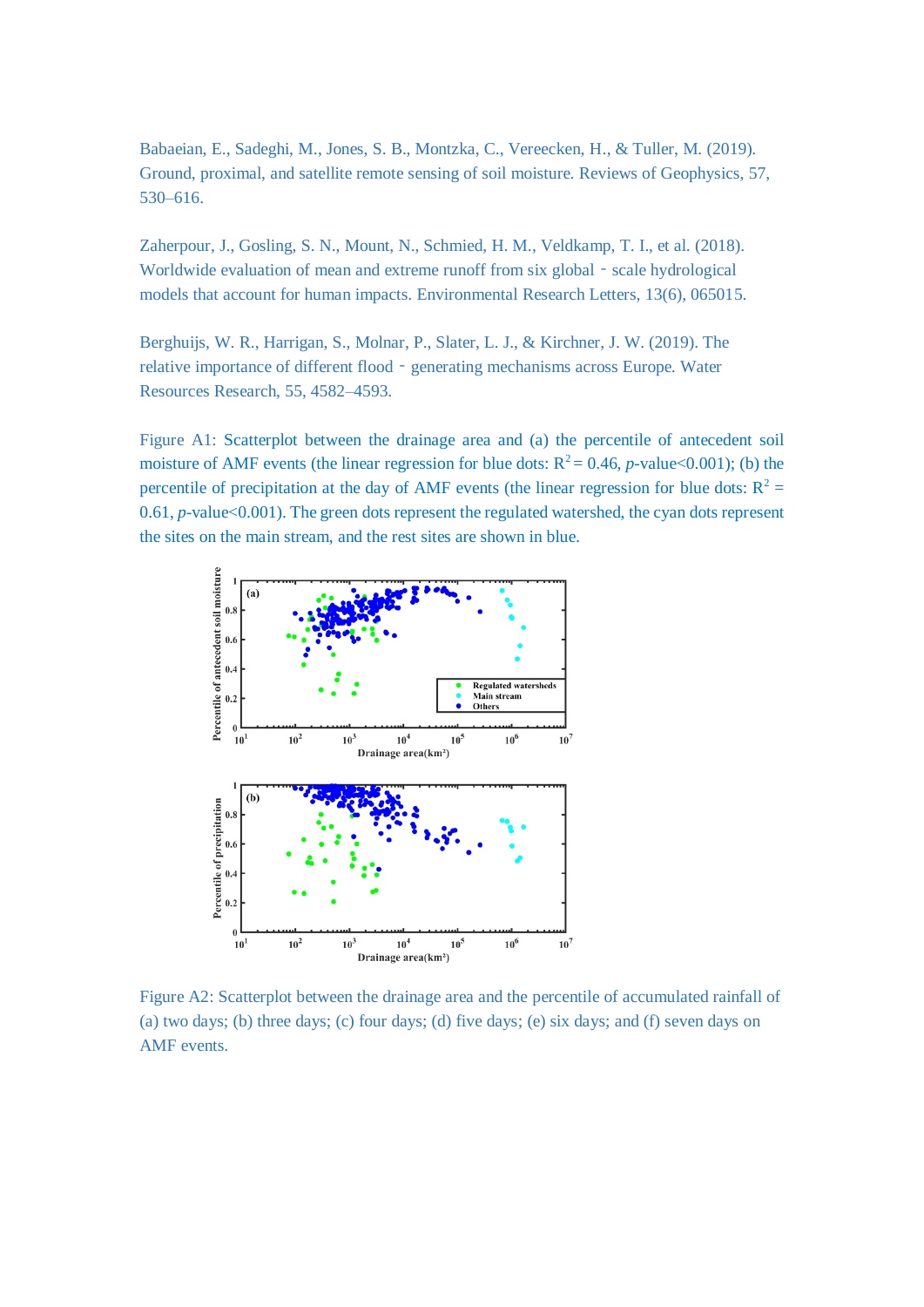Babaeian, E., Sadeghi, M., Jones, S. B., Montzka, C., Vereecken, H., & Tuller, M. (2019). Ground, proximal, and satellite remote sensing of soil moisture. Reviews of Geophysics, 57, 530–616.

Zaherpour, J., Gosling, S. N., Mount, N., Schmied, H. M., Veldkamp, T. I., et al. (2018). Worldwide evaluation of mean and extreme runoff from six global - scale hydrological models that account for human impacts. Environmental Research Letters, 13(6), 065015.

Berghuijs, W. R., Harrigan, S., Molnar, P., Slater, L. J., & Kirchner, J. W. (2019). The relative importance of different flood‐generating mechanisms across Europe. Water Resources Research, 55, 4582–4593.

Figure A1: Scatterplot between the drainage area and (a) the percentile of antecedent soil moisture of AMF events (the linear regression for blue dots:  $R^2 = 0.46$ , *p*-value<0.001); (b) the percentile of precipitation at the day of AMF events (the linear regression for blue dots:  $R^2$  = 0.61, *p*-value<0.001). The green dots represent the regulated watershed, the cyan dots represent the sites on the main stream, and the rest sites are shown in blue.



Figure A2: Scatterplot between the drainage area and the percentile of accumulated rainfall of (a) two days; (b) three days; (c) four days; (d) five days; (e) six days; and (f) seven days on AMF events.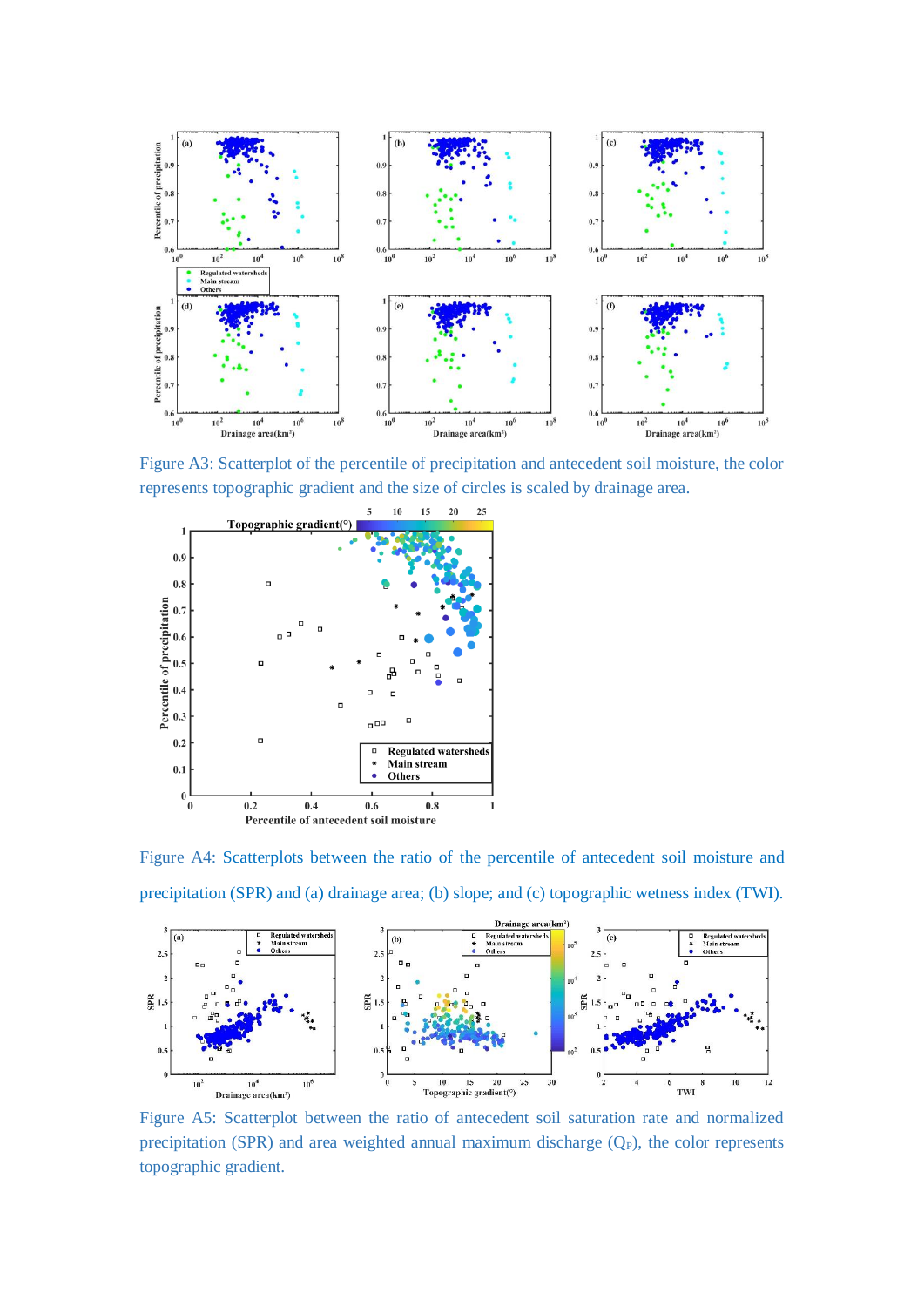

Figure A3: Scatterplot of the percentile of precipitation and antecedent soil moisture, the color represents topographic gradient and the size of circles is scaled by drainage area.



Figure A4: Scatterplots between the ratio of the percentile of antecedent soil moisture and precipitation (SPR) and (a) drainage area; (b) slope; and (c) topographic wetness index (TWI).



Figure A5: Scatterplot between the ratio of antecedent soil saturation rate and normalized precipitation (SPR) and area weighted annual maximum discharge  $(Q_P)$ , the color represents topographic gradient.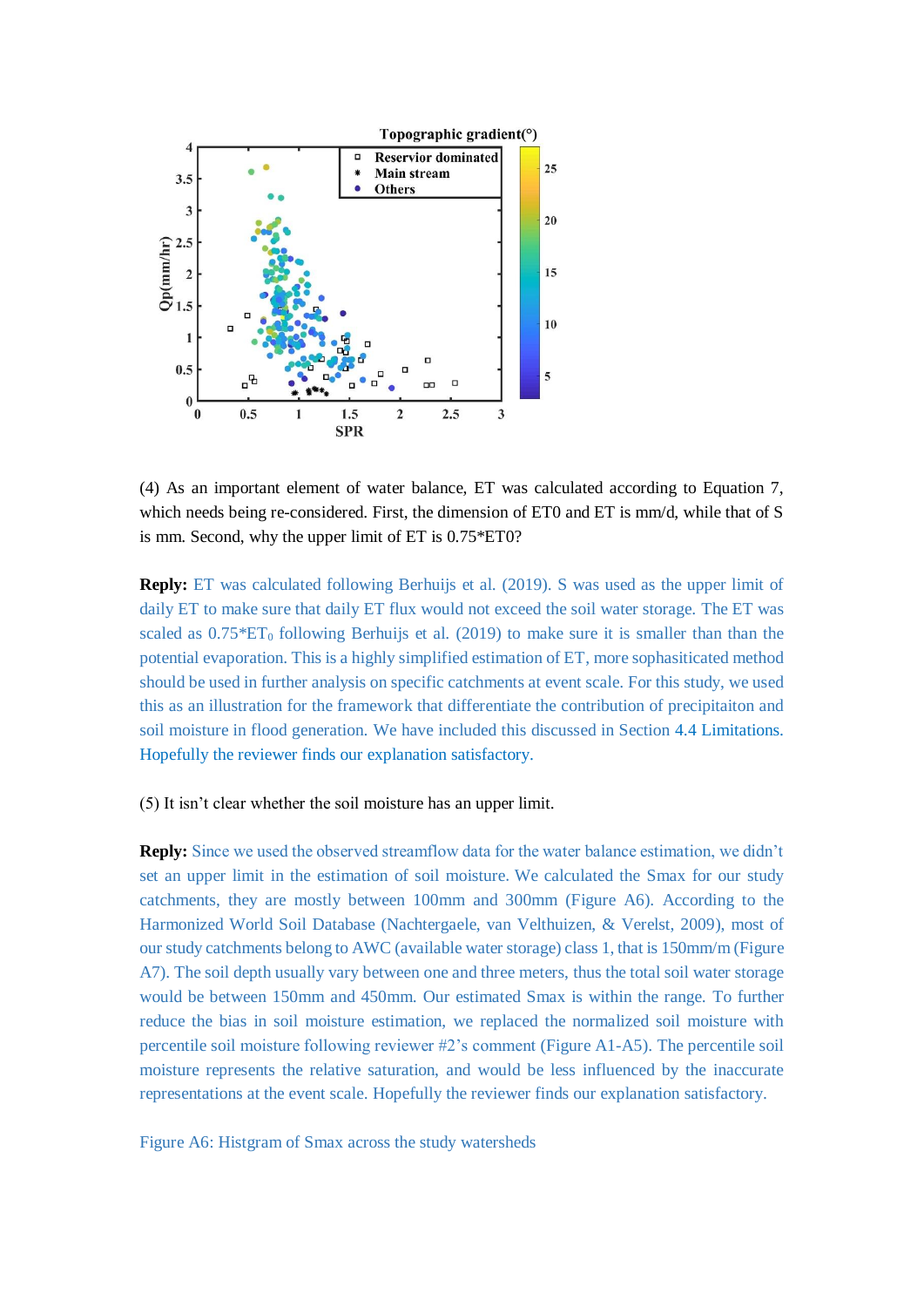

(4) As an important element of water balance, ET was calculated according to Equation 7, which needs being re-considered. First, the dimension of ET0 and ET is mm/d, while that of S is mm. Second, why the upper limit of ET is 0.75\*ET0?

**Reply:** ET was calculated following Berhuijs et al. (2019). S was used as the upper limit of daily ET to make sure that daily ET flux would not exceed the soil water storage. The ET was scaled as  $0.75*ET_0$  following Berhuijs et al. (2019) to make sure it is smaller than than the potential evaporation. This is a highly simplified estimation of ET, more sophasiticated method should be used in further analysis on specific catchments at event scale. For this study, we used this as an illustration for the framework that differentiate the contribution of precipitaiton and soil moisture in flood generation. We have included this discussed in Section 4.4 Limitations. Hopefully the reviewer finds our explanation satisfactory.

(5) It isn't clear whether the soil moisture has an upper limit.

**Reply:** Since we used the observed streamflow data for the water balance estimation, we didn't set an upper limit in the estimation of soil moisture.We calculated the Smax for our study catchments, they are mostly between 100mm and 300mm (Figure A6). According to the Harmonized World Soil Database (Nachtergaele, van Velthuizen, & Verelst, 2009), most of our study catchments belong to AWC (available water storage) class 1, that is 150mm/m (Figure A7). The soil depth usually vary between one and three meters, thus the total soil water storage would be between 150mm and 450mm. Our estimated Smax is within the range. To further reduce the bias in soil moisture estimation, we replaced the normalized soil moisture with percentile soil moisture following reviewer #2's comment (Figure A1-A5). The percentile soil moisture represents the relative saturation, and would be less influenced by the inaccurate representations at the event scale. Hopefully the reviewer finds our explanation satisfactory.

Figure A6: Histgram of Smax across the study watersheds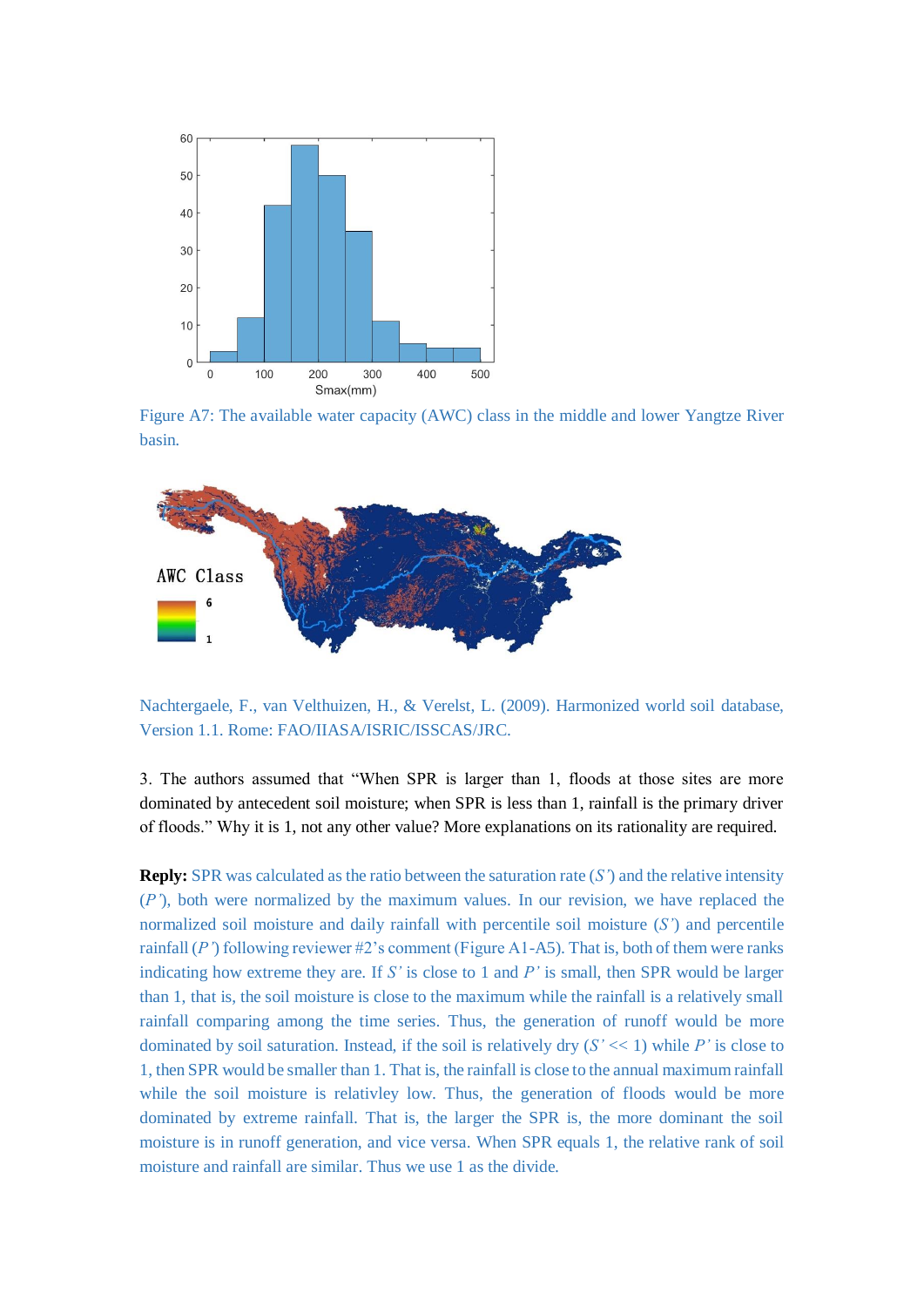

Figure A7: The available water capacity (AWC) class in the middle and lower Yangtze River basin.



Nachtergaele, F., van Velthuizen, H., & Verelst, L. (2009). Harmonized world soil database, Version 1.1. Rome: FAO/IIASA/ISRIC/ISSCAS/JRC.

3. The authors assumed that "When SPR is larger than 1, floods at those sites are more dominated by antecedent soil moisture; when SPR is less than 1, rainfall is the primary driver of floods." Why it is 1, not any other value? More explanations on its rationality are required.

**Reply:** SPR was calculated as the ratio between the saturation rate  $(S<sup>r</sup>)$  and the relative intensity (*P'*), both were normalized by the maximum values. In our revision, we have replaced the normalized soil moisture and daily rainfall with percentile soil moisture (*S'*) and percentile rainfall (*P'*) following reviewer #2's comment (Figure A1-A5). That is, both of them were ranks indicating how extreme they are. If *S'* is close to 1 and *P'* is small, then SPR would be larger than 1, that is, the soil moisture is close to the maximum while the rainfall is a relatively small rainfall comparing among the time series. Thus, the generation of runoff would be more dominated by soil saturation. Instead, if the soil is relatively dry  $(S' \ll 1)$  while P' is close to 1, then SPR would be smaller than 1. That is, the rainfall is close to the annual maximum rainfall while the soil moisture is relativley low. Thus, the generation of floods would be more dominated by extreme rainfall. That is, the larger the SPR is, the more dominant the soil moisture is in runoff generation, and vice versa. When SPR equals 1, the relative rank of soil moisture and rainfall are similar. Thus we use 1 as the divide.